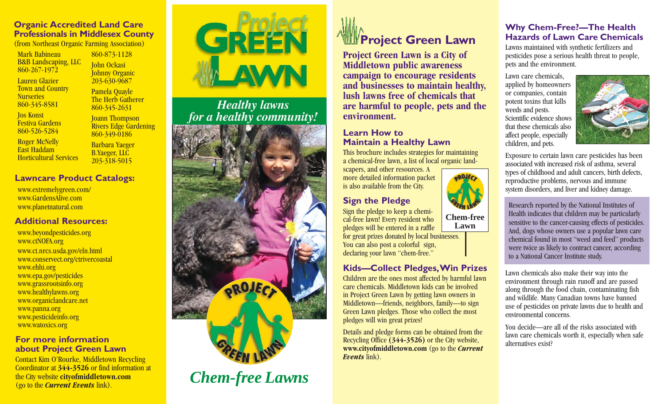# **Organic Accredited Land Care Professionals in Middlesex County**

Mark BabineauB&B Landscaping, LLC 860-267-1972

Lauren GlazierTown and Country

**Nurseries** 860-345-8581

Jos Konst Festiva Gardens860-526-5284

860-873-1128 John Ockasi Johnny Organic 203-630-9687

Pamela Quayle The Herb Gatherer 860-345-2631

Joann Thompson Rivers Edge Gardening 860-349-0186

Roger McNelly East Haddam Horticultural Services

#### Barbara Yaeger B.Yaeger, LLC 203-318-5015

# **Lawncare Product Catalogs:**

www.extremelygreen.com/ www.GardensAlive.comwww.planetnatural.com

## **Additional Resources:**

www.beyondpesticides.org www.ctNOFA.org www.ct.nrcs.usda.gov/eln.html www.conservect.org/ctrivercoastal www.ehhi.org www.epa.gov/pesticides www.grassrootsinfo.org www.healthylawns.org www.organiclandcare.net www.panna.org www.pesticideinfo.org www.watoxics.org

#### **For more information about Project Green Lawn**

Contact Kim O'Rourke, Middletown Recycling Coordinator at **344-3526** or find information at the City website **cityofmiddletown.com**  (go to the *Current Events* link).



# Healthy lawns<br>for a healthy community!



*Chem-free Lawns*



**Project Green Lawn is a City of Middletown public awareness campaign to encourage residents and businesses to maintain healthy, lush lawns free of chemicals that are harmful to people, pets and the environment.** 

# **Learn How to Maintain a Healthy Lawn**

This brochure includes strategies for maintaining a chemical-free lawn, a list of local organic land-

scapers, and other resources. A more detailed information packet is also available from the City.

# **Sign the Pledge**

Sign the pledge to keep a chemical-free lawn! Every resident who pledges will be entered in a raffle for great prizes donated by local businesses. You can also post a colorful sign, declaring your lawn "chem-free."

# **Kids—Collect Pledges,Win Prizes**

Children are the ones most affected by harmful lawn care chemicals. Middletown kids can be involved in Project Green Lawn by getting lawn owners in Middletown—friends, neighbors, family—to sign Green Lawn pledges. Those who collect the most pledges will win great prizes!

Details and pledge forms can be obtained from the Recycling Office **(344-3526)** or the City website, **www.cityofmiddletown.com** (go to the *Current Events* link).

#### **Why Chem-Free?—The Health Hazards of Lawn Care Chemicals**

Lawns maintained with synthetic fertilizers and pesticides pose a serious health threat to people, pets and the environment.

Lawn care chemicals, applied by homeowners or companies, contain potent toxins that kills weeds and pests. Scientific evidence showsthat these chemicals alsoaffect people, especially children, and pets.



Exposure to certain lawn care pesticides has been associated with increased risk of asthma, several types of childhood and adult cancers, birth defects, reproductive problems, nervous and immune system disorders, and liver and kidney damage.

Research reported by the National Institutes of Health indicates that children may be particularly sensitive to the cancer-causing effects of pesticides. And, dogs whose owners use a popular lawn care chemical found in most "weed and feed" products were twice as likely to contract cancer, according to a National Cancer Institute study.

Lawn chemicals also make their way into the environment through rain runoff and are passed along through the food chain, contaminating fish and wildlife. Many Canadian towns have banned use of pesticides on private lawns due to health and environmental concerns.

You decide—are all of the risks associated withlawn care chemicals worth it, especially when safe alternatives exist?

**Chem-freeLawn**